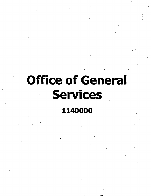# **Office of General** Services

# 1140000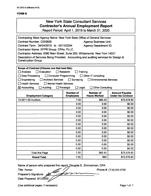#### **FORM B**

 $\epsilon$ 

### New York State Consultant Services **Contractor's Annual Employment Report**

Report Period: April 1.2019 to March 31,2020

| Contracting State Agency Name: New York State Office of General Services              |                           |                                         |                                                    |  |  |  |  |
|---------------------------------------------------------------------------------------|---------------------------|-----------------------------------------|----------------------------------------------------|--|--|--|--|
| Contract Number: C003936<br><b>Agency Business Unit:</b>                              |                           |                                         |                                                    |  |  |  |  |
| Contract Term: 04/04/2019 to 02/13/2024<br><b>Agency Department ID:</b>               |                           |                                         |                                                    |  |  |  |  |
| Contractor Name: EFPR Group, CPAs, PLLC                                               |                           |                                         |                                                    |  |  |  |  |
| Contractor Address: 6390 Main Street, Suite 200, Williamsville, New York 14221        |                           |                                         |                                                    |  |  |  |  |
| Description of Services Being Provided: Accounting and auditing services for Design & |                           |                                         |                                                    |  |  |  |  |
| <b>Construction Group</b>                                                             |                           |                                         |                                                    |  |  |  |  |
|                                                                                       |                           |                                         |                                                    |  |  |  |  |
| Scope of Contract (Choose one that best fits):                                        |                           |                                         |                                                    |  |  |  |  |
| $\Box$ Analysis<br>Evaluation                                                         | Research                  | Training                                |                                                    |  |  |  |  |
| Data Processing<br>Computer Programming                                               |                           | $\Box$ Other IT consulting              |                                                    |  |  |  |  |
| Engineering<br><b>Architect Services</b>                                              | $\Box$ Surveying          | <b>Environmental Services</b>           |                                                    |  |  |  |  |
| $\exists$ Health Services<br>$\Box$ Mental Health Services                            |                           |                                         |                                                    |  |  |  |  |
| $\boxtimes$ Accounting<br>Auditing                                                    | Paralegal<br>$\Box$ Legal | <b>Other Consulting</b>                 |                                                    |  |  |  |  |
|                                                                                       | <b>Number of</b>          | <b>Number of</b><br><b>Hours Worked</b> | <b>Amount Payable</b><br><b>Under the Contract</b> |  |  |  |  |
| <b>Employment Category</b>                                                            | <b>Employees</b>          |                                         |                                                    |  |  |  |  |
| 13-2011.02 Auditors                                                                   | 7.00                      | 993.43                                  | \$73,579.83                                        |  |  |  |  |
|                                                                                       | 0.00                      | 0.00                                    | \$0.00                                             |  |  |  |  |
|                                                                                       | 0.00                      | 0.00                                    | \$0.00                                             |  |  |  |  |
|                                                                                       | 0.00                      | 0.00                                    | \$0.00                                             |  |  |  |  |
|                                                                                       | 0.00                      | 0.00                                    | \$0.00                                             |  |  |  |  |
|                                                                                       | 0.00                      | 0.00                                    | \$0.00                                             |  |  |  |  |
|                                                                                       | 0.00                      | 0.00                                    | \$0.00                                             |  |  |  |  |
|                                                                                       | 0.00                      | 0.00                                    | \$0.00                                             |  |  |  |  |
|                                                                                       | 0.00                      | 0.00                                    | \$0.00                                             |  |  |  |  |
|                                                                                       | 0.00<br>$\epsilon$        | 0.00                                    | \$0.00                                             |  |  |  |  |
| 0.00<br>0.00<br>\$0.00                                                                |                           |                                         |                                                    |  |  |  |  |
| 0.00<br>0.00<br>\$0.00                                                                |                           |                                         |                                                    |  |  |  |  |
|                                                                                       | 0.00<br>0.00<br>\$0.00    |                                         |                                                    |  |  |  |  |
| <b>Total this Page</b>                                                                | 7.00                      | 993.43                                  | \$73,579.83                                        |  |  |  |  |
| <b>Grand Total</b>                                                                    | 7.00                      | 993                                     | \$73,579.83                                        |  |  |  |  |

■>

**Name** of person who prepared this report: Douglas E. Zimmerman, CPA

**Title:** Partner

**Phone** #: (716) 634-0700

**Preparer's Signature:**

**Date Prepared:** 5/15/2020

(Use additional pages, if necessary) example the contract of the Page 1 of 1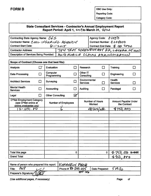$\ddot{\phantom{a}}$ 

Reporting Code:

Category Code:

#### **State Consultant Services - Contractor's Annual Employment Report Report Period: April 1, ^^^to March 31,**

| Contracting State Agency Name: $065$    |         | Agency Code: 01050                       |
|-----------------------------------------|---------|------------------------------------------|
| Contractor Name: COOLINSURING AGENCY    |         | Contract Number: <i>0004000</i>          |
| <b>Contract Start Date:</b>             | 6112015 | Contract End Date: \$ 1301 2020          |
| <b>Contractor Address:</b>              |         | 784 TROY SCHENECTADY RD, LATHAM NY 12110 |
| Description of Services Being Provided: |         | ANTO MOBILE CLAIMS ADMINISTRATION        |

| Scope of Contract (Choose one that best fits):                              |              |                                   |                            |                                  |              |                                      |                                    |
|-----------------------------------------------------------------------------|--------------|-----------------------------------|----------------------------|----------------------------------|--------------|--------------------------------------|------------------------------------|
| Analysis                                                                    | $\mathbf{L}$ | Evaluation                        | П                          | Research                         | П            | Training                             | l 1                                |
| <b>Data Processing</b>                                                      | $\Box$       | Computer<br>Programming           | n.                         | Other IT<br>Consulting           | П            | Engineering                          |                                    |
| <b>Architect Services</b>                                                   | I,           | Surveying                         |                            | Environmental<br><b>Services</b> | $\mathsf{L}$ | Health<br><b>Services</b>            |                                    |
| <b>Mental Health</b><br><b>Services</b>                                     | П            | Accounting                        | П                          | Auditing                         |              | Paralegal                            |                                    |
| Legal                                                                       | □            | <b>Other Consulting</b>           | $\boldsymbol{\mathsf{Z}}'$ |                                  |              |                                      |                                    |
| O*Net Employment Category<br>(see O*Net online at<br>online.onetcenter.org) |              | <b>Number of Employees</b><br>- 4 |                            | <b>Number of Hours</b><br>Worked |              | Amount Payable Under<br>the Contract |                                    |
| $3 - 1031.00$                                                               |              | "                                 |                            | $20$ krs/wk                      |              | <u>4750,000</u>                      |                                    |
|                                                                             |              |                                   |                            |                                  |              |                                      |                                    |
|                                                                             |              |                                   |                            |                                  |              |                                      |                                    |
|                                                                             |              |                                   |                            |                                  |              |                                      |                                    |
|                                                                             |              |                                   |                            |                                  |              |                                      |                                    |
|                                                                             |              |                                   |                            |                                  |              |                                      |                                    |
|                                                                             | ÷.           |                                   |                            |                                  |              |                                      |                                    |
|                                                                             |              |                                   |                            |                                  |              |                                      |                                    |
|                                                                             |              |                                   |                            |                                  |              |                                      |                                    |
|                                                                             |              | $\mathbf{r}$                      |                            |                                  |              |                                      |                                    |
|                                                                             |              |                                   |                            |                                  |              |                                      |                                    |
| Total this page                                                             |              |                                   | 0                          |                                  | 0            | 予750,<br>ow                          | $\bigoplus_{i=1}^n \mathfrak{W}_i$ |
| <b>Grand Total</b>                                                          |              |                                   |                            | $\bullet$                        |              | 4750,000                             |                                    |

| Name of person who prepared this report: KimBERLY, FITCH |                     |                         |
|----------------------------------------------------------|---------------------|-------------------------|
| $\vert$ Title:                                           | Phone #: $2/3$ 0115 | Date Prepared: $5/19/2$ |
| . Preparer's Signature;⁄     <i>   </i> 文/               | $Q$ of the let      |                         |

*(Use additional pages, ifnecessary)* Page of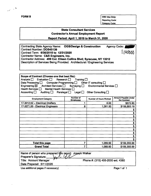$\frac{1}{\sqrt{2}}\left(\frac{1}{\sqrt{2}}\right)^{\frac{1}{2}}$ 

**FORM B** OSC Use Only: Reporting Code; Category Code:

#### **State Consultant Services Contractor's Annual Employment Report**

**Report Period: April 1,2019 to March 31,2020**

| Contracting State Agency Name: OGS/Design & Construction                     | Agency Code: |
|------------------------------------------------------------------------------|--------------|
| <b>Contract Number: DOS45139</b>                                             |              |
| Contract Term: 6/30/2015 to 12/31/2020                                       | 1140000      |
| Contractor Name: C&S Engineers, Inc.                                         |              |
| Contractor Address: 499 Col. Eileen Collins Blvd; Syracuse, NY 13212         |              |
| Description of Services Being Provided: Architectural / Engineering Services |              |
|                                                                              |              |

| Scope of Contract (Choose one that best fits):<br>Analysis Fualuation Research Training<br>Data Processing $\Box$ Computer Programming $\Box$ Other IT consulting $\Box$<br>Engineering $\boxtimes$ Architect Services $\Box$ Surveying $\Box$ Environmental Services $\Box$<br>Health Services   Mental Health Services  <br>Accounting $\square$<br>Auditing Paralegal Legal C Other Consulting |                               |                        |                                      |  |  |  |  |
|---------------------------------------------------------------------------------------------------------------------------------------------------------------------------------------------------------------------------------------------------------------------------------------------------------------------------------------------------------------------------------------------------|-------------------------------|------------------------|--------------------------------------|--|--|--|--|
| <b>Employment Category</b>                                                                                                                                                                                                                                                                                                                                                                        | Number of<br><b>Employees</b> | Number of Hours Worked | Amount Payable Under<br>the Contract |  |  |  |  |
| 17-3012.02 - Electrical Drafters                                                                                                                                                                                                                                                                                                                                                                  |                               | 8.00                   | \$672.80                             |  |  |  |  |
| 17-2071.00 - Electrical Engineers                                                                                                                                                                                                                                                                                                                                                                 | 6                             | 1,061.50               | \$158,683.19                         |  |  |  |  |
|                                                                                                                                                                                                                                                                                                                                                                                                   |                               |                        |                                      |  |  |  |  |
|                                                                                                                                                                                                                                                                                                                                                                                                   |                               |                        | Ŝ                                    |  |  |  |  |
|                                                                                                                                                                                                                                                                                                                                                                                                   |                               |                        | \$                                   |  |  |  |  |
|                                                                                                                                                                                                                                                                                                                                                                                                   |                               |                        | S                                    |  |  |  |  |
|                                                                                                                                                                                                                                                                                                                                                                                                   |                               |                        | \$                                   |  |  |  |  |
|                                                                                                                                                                                                                                                                                                                                                                                                   |                               |                        | \$                                   |  |  |  |  |
|                                                                                                                                                                                                                                                                                                                                                                                                   |                               |                        | S                                    |  |  |  |  |
|                                                                                                                                                                                                                                                                                                                                                                                                   |                               |                        | \$                                   |  |  |  |  |
|                                                                                                                                                                                                                                                                                                                                                                                                   |                               |                        | \$                                   |  |  |  |  |
|                                                                                                                                                                                                                                                                                                                                                                                                   | S                             |                        |                                      |  |  |  |  |
| <b>Total this page</b><br>1,069.50<br>\$159,355.99                                                                                                                                                                                                                                                                                                                                                |                               |                        |                                      |  |  |  |  |
| <b>Grand Total</b>                                                                                                                                                                                                                                                                                                                                                                                | 7                             | 1,069.50               | \$159,355.99                         |  |  |  |  |

| Name of person who prepared this report: Joseph Walker<br>Preparer's Signature: |                                   |
|---------------------------------------------------------------------------------|-----------------------------------|
| w v<br>Title: Account Manager                                                   | Phone #: (315) 455-2000 ext. 4380 |
| Date Prepared: 5/11/2020                                                        |                                   |
|                                                                                 |                                   |

Use additional pages if necessary) and the example of the Page 1 of 1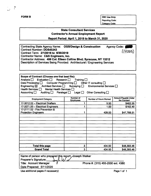$\frac{1}{\sqrt{2}}\left( \frac{1}{\sqrt{2}}\right) ^{2}$ 

**FORM B OSC** Use Only: Reporting Code: Category Code:

#### **State Consultant Services Contractor's Annual Employment Report**

**Report Period: April 1,2019 to March 31, 2020**

| Contracting State Agency Name: OGS/Design & Construction                     | Agency Code: (<br>a ang |
|------------------------------------------------------------------------------|-------------------------|
| <b>Contract Number: DOS45343</b>                                             | (14000)                 |
| Contract Term: 2/1/2016 to 6/30/2019                                         |                         |
| Contractor Name: C&S Engineers, Inc.                                         |                         |
| Contractor Address: 499 Col. Eileen Collins Blvd; Syracuse, NY 13212         |                         |
| Description of Services Being Provided: Architectural / Engineering Services |                         |
|                                                                              |                         |

| Scope of Contract (Choose one that best fits):<br>Analysis Bused and Bused Contraining Dunner Bused on Training Dunner Bused on Training Dunner Bused on Training<br>Data Processing $\Box$ Computer Programming $\Box$ Other IT consulting $\Box$<br>Engineering $\boxtimes$ Architect Services $\Box$ Surveying $\Box$<br>Environmental Services $\Box$<br>Health Services <sub>I</sub><br>Mental Health Services [<br>Accounting $\square$<br>Auditing Paralegal Legal C Cther Consulting |                               |                               |                                             |  |  |  |  |
|----------------------------------------------------------------------------------------------------------------------------------------------------------------------------------------------------------------------------------------------------------------------------------------------------------------------------------------------------------------------------------------------------------------------------------------------------------------------------------------------|-------------------------------|-------------------------------|---------------------------------------------|--|--|--|--|
| <b>Employment Category</b>                                                                                                                                                                                                                                                                                                                                                                                                                                                                   | Number of<br><b>Employees</b> | <b>Number of Hours Worked</b> | <b>Amount Payable Under</b><br>the Contract |  |  |  |  |
| 17-3012.02 - Electrical Drafters                                                                                                                                                                                                                                                                                                                                                                                                                                                             |                               | 5.50                          | \$462.55                                    |  |  |  |  |
| 17-2071.00 - Electrical Engineers                                                                                                                                                                                                                                                                                                                                                                                                                                                            |                               | 1.00                          | \$162.40                                    |  |  |  |  |
| 17-2111.02 - Fire Prevention &<br><b>Protection Engineers</b><br>428.00<br>\$47,768.51                                                                                                                                                                                                                                                                                                                                                                                                       |                               |                               |                                             |  |  |  |  |
|                                                                                                                                                                                                                                                                                                                                                                                                                                                                                              |                               |                               |                                             |  |  |  |  |
|                                                                                                                                                                                                                                                                                                                                                                                                                                                                                              |                               |                               |                                             |  |  |  |  |
|                                                                                                                                                                                                                                                                                                                                                                                                                                                                                              |                               |                               |                                             |  |  |  |  |
|                                                                                                                                                                                                                                                                                                                                                                                                                                                                                              |                               |                               |                                             |  |  |  |  |
|                                                                                                                                                                                                                                                                                                                                                                                                                                                                                              |                               |                               |                                             |  |  |  |  |
| <b>Total this page</b><br>3<br>434.50<br>\$48,393.46                                                                                                                                                                                                                                                                                                                                                                                                                                         |                               |                               |                                             |  |  |  |  |
| <b>Grand Total</b>                                                                                                                                                                                                                                                                                                                                                                                                                                                                           | 3                             | 434.50                        | \$48,393.46                                 |  |  |  |  |

| Name of person who prepared this report: <i>A</i> loseph Walker |                                   |
|-----------------------------------------------------------------|-----------------------------------|
| $\Delta u$<br>Preparer's Signature:                             |                                   |
| <b>Title: Account Manager</b>                                   | Phone #: (315) 455-2000 ext. 4380 |
| Date Prepared: 5/11/2020                                        |                                   |

Use additional pages if necessary) and the example of the Page 1 of 1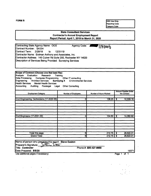**FORM B OSC** Use Only: Reporting Code: Category Code:

#### State **Consultant** Services Contractor's **Annual Employment Report Report Period: April 1, 2019 to March 31, 2020**

Contracting State Agency Name: OGS Agency Code: Hoord Contract Number; SA354 Contract Term: 2/28/19 to 12/31/19 Contractor Name: Erdman Anthony and Associates, Inc. Contractor Address; 145 Culver Rd Suite 200, Rochester NY 14620 Description of Services Being Provided: Surveying Services

Scope of Contract (Choose one that best fits): Analysis Evaluation Research Training Data Processing Computer Programming Other IT consulting Engineering Architect Services Surveying X Environmental Services Health Services Mental Health Services Auditing Paralegal Legal Other Consulting

| <b>Employment Category</b>                   | <b>Number of Employees</b> | Number of Hours Worked | Amount Payable Under<br>the Contract |  |
|----------------------------------------------|----------------------------|------------------------|--------------------------------------|--|
| Civil Engineering Technicians (17-3022.00)   | 2                          | 108.25                 | 12,559.19<br>S                       |  |
|                                              |                            |                        |                                      |  |
| Civil Engineers (17-2051.00)                 | 4                          | 104.50                 | 14,062.82<br>s                       |  |
|                                              |                            |                        |                                      |  |
| <b>Total this page</b><br><b>Grand Total</b> | 6<br>61                    | $212.75$ \$<br>212.75  | 26,622.01<br>26,622.01<br>5          |  |

| Name of person who prepared this report: Steve Easton |                       |       |
|-------------------------------------------------------|-----------------------|-------|
|                                                       |                       |       |
| Preparer's Signature:<br>$\times$ len $25$            |                       |       |
| Title: Controller                                     | Phone #: 585-427-8888 |       |
| Date Prepared: 5/5/20                                 |                       | 19371 |
| .<br><del>.</del>                                     |                       |       |

Use additional pages if necessary) **Page 1** of 1

 $\sim$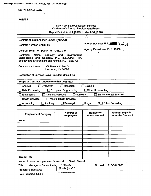l.

AC 3271-S (Effective 4/12)

#### **FORMB**

 $\epsilon$ 

| <b>New York State Consultant Services</b><br><b>Contractor's Annual Employment Report</b>                                         |                                                    |                                         |                                                    |  |
|-----------------------------------------------------------------------------------------------------------------------------------|----------------------------------------------------|-----------------------------------------|----------------------------------------------------|--|
|                                                                                                                                   | Report Period: April 1, [2019] to March 31, [2020] |                                         |                                                    |  |
| <b>Contracting State Agency Name: NYS OGS</b>                                                                                     |                                                    |                                         |                                                    |  |
| Contract Number: SA618-00                                                                                                         |                                                    | Agency Business Unit:                   | $\alpha_{50}$                                      |  |
| Contract Term: 10/16/2014 to 10/15/2019                                                                                           |                                                    | Agency Department ID: 1140000           |                                                    |  |
| Contractor<br>Name:<br>Ecology<br>Engineering and Geology, P.C. (EEEGPC) FKA<br>Ecology and Environment Engineering, P.C. (EEEPC) | and<br><b>Environment</b>                          |                                         |                                                    |  |
| <b>Contractor Address:</b><br>368 Pleasant View Dr<br>Lancaster, NY 14086                                                         |                                                    |                                         |                                                    |  |
| Description of Services Being Provided: Consulting                                                                                |                                                    |                                         |                                                    |  |
| Scope of Contract (Choose one that best fits):                                                                                    |                                                    |                                         |                                                    |  |
| Analysis<br>Evaluation ·                                                                                                          | Research                                           | Training                                |                                                    |  |
| Data Processing                                                                                                                   | <b>Computer Programming</b>                        | Other IT consulting                     |                                                    |  |
| <b>Architect Services</b><br>Engineering                                                                                          | Surveying                                          |                                         | <b>Environmental Services</b>                      |  |
| <b>Health Services</b>                                                                                                            | <b>Mental Health Services</b>                      |                                         |                                                    |  |
| Accounting<br>Auditing                                                                                                            | Paralegal                                          | $X \square$<br>Legal                    | <b>Other Consulting</b>                            |  |
|                                                                                                                                   |                                                    |                                         |                                                    |  |
| <b>Employment Category</b>                                                                                                        | <b>Number of</b><br><b>Employees</b>               | <b>Number of</b><br><b>Hours Worked</b> | <b>Amount Payable</b><br><b>Under the Contract</b> |  |
| None                                                                                                                              |                                                    |                                         |                                                    |  |
|                                                                                                                                   |                                                    |                                         |                                                    |  |
|                                                                                                                                   | $\blacksquare$                                     |                                         |                                                    |  |
|                                                                                                                                   |                                                    |                                         |                                                    |  |
|                                                                                                                                   |                                                    |                                         |                                                    |  |
|                                                                                                                                   |                                                    |                                         |                                                    |  |
|                                                                                                                                   |                                                    |                                         |                                                    |  |
|                                                                                                                                   |                                                    |                                         |                                                    |  |
| <b>Grand Total</b>                                                                                                                |                                                    |                                         |                                                    |  |
| Name of person who prepared this report:                                                                                          | <b>Gerald Strobel</b>                              |                                         |                                                    |  |
| Title:<br>Manager of Subcontracts                                                                                                 | DocuSigned by:                                     | Phone #:                                | 716-684 8060                                       |  |
| Preparer's Signature:                                                                                                             | Gerald Strobel                                     |                                         |                                                    |  |
| Date Prepared: 5/5/20                                                                                                             | 4D8053D137E54BA                                    |                                         |                                                    |  |

,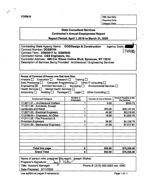$\tilde{\phantom{a}}$ 

 $\mathbf{z}^{\prime}$ 

**FORM B OSC** Use Only: Reporting Code: Category Code:

 $\tilde{\phantom{a}}$ 

 $\mathbf{k}$ 

#### **State Consultant Services Contractor's Annual Employment Report**

**Report Period: April 1,2019 to March 31, 2020**

| Contracting State Agency Name: OGS/Design & Construction                     | Agency Code: ▲ |
|------------------------------------------------------------------------------|----------------|
| <b>Contract Number: DOSB754</b>                                              | [19000]        |
| Contract Term: 3/29/2017 to 3/28/2020                                        |                |
| Contractor Name: C&S Engineers, Inc.                                         |                |
| Contractor Address: 499 Col. Eileen Collins Blvd; Syracuse, NY 13212         |                |
| Description of Services Being Provided: Architectural / Engineering Services |                |
|                                                                              |                |

| Scope of Contract (Choose one that best fits):<br>Evaluation $\Box$ Research $\Box$ Training $\Box$<br>Analysis $\Box$<br>Data Processing $\Box$<br>Engineering $\boxtimes$ Architect Services $\Box$ Surveying $\Box$<br>Health Services $\Box$<br>Mental Health Services<br>Accounting $\Box$<br>Auditing $\Box$ | Computer Programming D   Other IT consulting D<br>Paralegal $\Box$<br>Legal $\Box$ | Environmental Services $\Box$<br>Other Consulting $\Box$ |                                      |  |
|--------------------------------------------------------------------------------------------------------------------------------------------------------------------------------------------------------------------------------------------------------------------------------------------------------------------|------------------------------------------------------------------------------------|----------------------------------------------------------|--------------------------------------|--|
| <b>Employment Category</b>                                                                                                                                                                                                                                                                                         | Number of<br><b>Employees</b>                                                      | Number of Hours Worked                                   | Amount Payable Under<br>the Contract |  |
| 17-3011.01 - Architectural Drafters                                                                                                                                                                                                                                                                                |                                                                                    | 6.00                                                     | \$530.72                             |  |
| 17-1011.00 - Architects, Except<br><b>Landscape and Naval</b>                                                                                                                                                                                                                                                      |                                                                                    | 353.00                                                   | \$56,147.64                          |  |
| 17-2071.00 - Electrical Engineers<br>40.50<br>\$6,018.95                                                                                                                                                                                                                                                           |                                                                                    |                                                          |                                      |  |
| 17-2199.00 - Engineers, All Other                                                                                                                                                                                                                                                                                  |                                                                                    | 18.00                                                    | \$1,935.75                           |  |
| 17-2111.02 - Fire Prevention &<br><b>Protection Engineers</b>                                                                                                                                                                                                                                                      | 3                                                                                  | 38.50                                                    | \$4,158.79                           |  |
| 17-2141.00 - Mechanical Engineers                                                                                                                                                                                                                                                                                  |                                                                                    | 47.00                                                    | \$7,517.61                           |  |
|                                                                                                                                                                                                                                                                                                                    |                                                                                    |                                                          |                                      |  |
| <b>Total this page</b>                                                                                                                                                                                                                                                                                             | 8                                                                                  | 503.00                                                   | \$76,309.46                          |  |
| <b>Grand Total</b>                                                                                                                                                                                                                                                                                                 | 8                                                                                  | 503.00                                                   | \$76,309.46                          |  |

| Name of person who prepared this report: Joseph Walker<br>Preparer's Signature: $\frac{1}{2}$ |                                   |
|-----------------------------------------------------------------------------------------------|-----------------------------------|
|                                                                                               |                                   |
| <b>Title: Account Manager</b>                                                                 | Phone #: (315) 455-2000 ext. 4380 |
| Date Prepared: 5/11/2020                                                                      |                                   |
|                                                                                               |                                   |

Use additional pages if necessary) example the control of the Page 1 of 1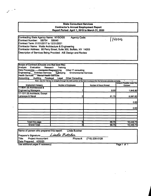#### **state Consultant Services Contractor's Annual Employment Report Report Period; April 1,2019 to March 31,2020**

 $\mathcal{L}^{\text{max}}$ 

| Contracting State Agency Name: NYSOGS<br><b>Agency Code:</b>      |                       |
|-------------------------------------------------------------------|-----------------------|
| Contract Number: SB754<br>SB540                                   | $\frac{1}{2}$ [140000 |
| Contract Term: 01/01/2017 to 12/31/2021                           |                       |
| Contractor Name: Watts Architecture & Engineering                 |                       |
| Contractor Address: 95 Perry Street, Suite 300, Buffalo, NY 14203 |                       |
| Description of Services Being Provided: A/E Design and Review     |                       |

| Scope of Contract (Choose one that best fits):                                                                                    |                                                                                                                          |                        |                                                    |
|-----------------------------------------------------------------------------------------------------------------------------------|--------------------------------------------------------------------------------------------------------------------------|------------------------|----------------------------------------------------|
| Analysis<br>Evaluation<br>Research                                                                                                | Training                                                                                                                 |                        |                                                    |
| Data Processing Computer Programming                                                                                              | Other IT consulting                                                                                                      |                        |                                                    |
| Engineering<br><b>Architect Services</b>                                                                                          | <b>Sudveying</b><br><b>Environmental Services</b>                                                                        |                        |                                                    |
| Health Services<br><b>Mental Health Services</b>                                                                                  |                                                                                                                          |                        |                                                    |
| Accounting<br>Auditing<br>Paralegal                                                                                               | <b>Other Consulting</b><br>Legal                                                                                         |                        |                                                    |
| $\mathcal{F}^{\mathcal{A}}_{\mathcal{A}}$ , $\mathcal{F}^{\mathcal{A}}_{\mathcal{A}}$ , $\mathcal{F}^{\mathcal{A}}_{\mathcal{A}}$ | Note: Use the Tab key to navigate through the table portion of the form to ensure that the formulas calculate correctly. |                        | ¥.<br>$\Gamma = 1/2$                               |
| <b>Employment Category</b>                                                                                                        | <b>Number of Employees</b>                                                                                               | Number of Hours Worked | <b>Amount Payable Under the</b><br><b>Contract</b> |
| 11-9041.00 Architectural &                                                                                                        |                                                                                                                          |                        |                                                    |
| <b>Engineering Managers</b>                                                                                                       |                                                                                                                          | 8.00                   | 1,848.90                                           |
| 17-1011.00 Architects, Except                                                                                                     |                                                                                                                          |                        |                                                    |
| Lanscape & Naval                                                                                                                  | 2                                                                                                                        | 61.75                  | 8,597.83                                           |
|                                                                                                                                   |                                                                                                                          |                        | 0.00                                               |
|                                                                                                                                   |                                                                                                                          |                        | 0.00 <sub>l</sub>                                  |
|                                                                                                                                   |                                                                                                                          |                        |                                                    |
| Total this page                                                                                                                   | 3                                                                                                                        | 69.75                  | 10,446.73                                          |
| <b>Grand Total</b>                                                                                                                | 3                                                                                                                        | 69.75                  | 10,446.73                                          |
|                                                                                                                                   |                                                                                                                          |                        |                                                    |

| Name of person who prepared this report: | <b>Linda Butcher</b> |                         |             |
|------------------------------------------|----------------------|-------------------------|-------------|
| Linda Butcher<br>Preparer's Signature:   |                      |                         |             |
| Title: Project Accountant                |                      | Phone #: (716) 206-5128 |             |
| Date Prepared: 4/20/20                   |                      |                         |             |
| Use additional pages if necessary)       |                      |                         | Page 1 of 1 |

*) If'*

 $\overline{\phantom{a}}$ 

 $\frac{1}{2} \int_{\mathbb{R}^3} \frac{1}{\sqrt{2}} \, \mathrm{d} x \, \mathrm{d} x$ 

**i**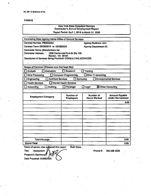#### **FORM B**

|                                                                                               | <b>Now York State Consultant Services</b><br><b>Contractor's Annual Employment Report</b> |                                  |                                                    |  |
|-----------------------------------------------------------------------------------------------|-------------------------------------------------------------------------------------------|----------------------------------|----------------------------------------------------|--|
|                                                                                               | Report Period: April 1, 2019 to March 31, 2020                                            |                                  |                                                    |  |
| Contracting State Agency Name Office of General Scrvices                                      |                                                                                           |                                  |                                                    |  |
| Contract Number: PB0033AA                                                                     |                                                                                           | <b>Agency Business Unit:</b>     |                                                    |  |
| Contract Term: 09/09/2015 to 09/08/2024                                                       |                                                                                           | <b>Agency Department ID:</b>     |                                                    |  |
| <b>Contractor Name: [Metaformers Inc</b>                                                      |                                                                                           |                                  |                                                    |  |
| <b>Contractor Address:</b>                                                                    | 1850 Contonnial Park Dr.Ste 105                                                           |                                  |                                                    |  |
| Reston, VA 20191<br>Description of Services Being Provided: CONSULTING SERVICES               |                                                                                           |                                  |                                                    |  |
|                                                                                               |                                                                                           |                                  |                                                    |  |
|                                                                                               |                                                                                           |                                  |                                                    |  |
| Scope of Contract (Choose one that best fits):                                                |                                                                                           |                                  |                                                    |  |
| Analysis<br>Evaluation                                                                        | $\Box$ Research                                                                           | Training                         |                                                    |  |
| Data Processing                                                                               | Computer Programming                                                                      | □Other IT consulting             |                                                    |  |
| <b>Architect Services</b><br>$\Box$ Surveying<br><b>Environmental Services</b><br>Engineering |                                                                                           |                                  |                                                    |  |
| <b>Health Services.</b>                                                                       | <b>Mental Health Services</b>                                                             |                                  |                                                    |  |
| Accounting<br>$\Box$ Auditing                                                                 | Paralegal                                                                                 | $\Box$ Legal                     | 3 Other Consulting                                 |  |
|                                                                                               |                                                                                           |                                  |                                                    |  |
| <b>Employment Category</b>                                                                    | Number of<br><b>Employees</b>                                                             | Number of<br><b>Hours Worked</b> | <b>Amount Payable</b><br><b>Under the Contract</b> |  |
|                                                                                               |                                                                                           |                                  | 0.00                                               |  |
|                                                                                               |                                                                                           |                                  |                                                    |  |
|                                                                                               |                                                                                           |                                  |                                                    |  |
|                                                                                               |                                                                                           |                                  |                                                    |  |
|                                                                                               |                                                                                           |                                  |                                                    |  |
|                                                                                               |                                                                                           |                                  |                                                    |  |
|                                                                                               |                                                                                           |                                  |                                                    |  |
|                                                                                               |                                                                                           |                                  |                                                    |  |
|                                                                                               |                                                                                           |                                  |                                                    |  |
|                                                                                               |                                                                                           |                                  |                                                    |  |
| Total this page                                                                               |                                                                                           |                                  | 0.00                                               |  |
| <b>Grand Total</b>                                                                            |                                                                                           |                                  | 0.00                                               |  |

Name of person who prepared this report: **Ruth Maza** 

Titlo: Accountant Preparer's Signature Date Prepared: 05/08/2020

Phone #: 703 288 4620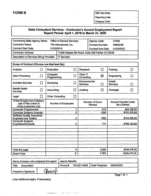**Reporting Code:**

**Category Code:**

 $\epsilon$ 

#### **State Consultant Services - Contractor's Annual Employment Report Report Period: April 1, 2019 to March 31, 2020**

| Contracting State Agency Name: Office of General Services |                         |                                                    | <b>Agency Code:</b>       | 01050          |
|-----------------------------------------------------------|-------------------------|----------------------------------------------------|---------------------------|----------------|
| <b>Contractor Name:</b>                                   | PSI International, Inc. |                                                    | <b>Contract Number:</b>   | <b>PB042AB</b> |
| <b>Contract Start Date:</b>                               | 01/23/2019              |                                                    | <b>Contract End Date:</b> | 01/22/2022     |
| <b>Contractor Address:</b>                                |                         | 11200 Waples Mill Road, Suite 200 Fairfax VA 22030 |                           |                |
| Description of Services Being Provided:   IT Services     |                         |                                                    |                           |                |

| Scope of Contract (Choose one that best fits):                              |        |                         |                         |                                  |                |                                      |              |
|-----------------------------------------------------------------------------|--------|-------------------------|-------------------------|----------------------------------|----------------|--------------------------------------|--------------|
| <b>Analysis</b>                                                             | □      | Evaluation              | $\Box$                  | <b>Research</b>                  | □              | Training                             | П            |
| Data Processing                                                             | □      | Computer<br>Programming | n.                      | Other IT<br><b>Consulting</b>    | 図              | Engineering                          |              |
| <b>Architect Services</b>                                                   | П      | Surveying               |                         | Environmental<br><b>Services</b> | $\blacksquare$ | Health<br><b>Services</b>            | $\mathsf{L}$ |
| <b>Mental Health</b><br><b>Services</b>                                     | $\Box$ | Accounting              | H.                      | <b>Auditing</b>                  | П              | Paralegal                            |              |
| Legal                                                                       | $\Box$ | <b>Other Consulting</b> | □                       |                                  |                |                                      |              |
| O*Net Employment Category<br>(see O*Net online at<br>online.onetcenter.org) |        | Number of Employees     |                         | Number of Hours<br><b>Worked</b> |                | Amount Payable Under<br>the Contract |              |
| <b>Computer Programmers</b>                                                 |        |                         | 1                       |                                  | .518           |                                      | \$54,328.00  |
| <b>Computer Systems Analysts</b>                                            |        |                         | 3                       |                                  | 1033           |                                      | \$101,475.00 |
| <b>Software Quality Assurance</b><br><b>Engineers and Testers</b>           |        |                         | $\overline{\mathbf{c}}$ |                                  | 1062           |                                      | \$123,550.00 |
| <b>Computer Systems</b><br>Engineers/Architects                             |        |                         | $\overline{\mathbf{2}}$ |                                  | 771            |                                      | \$160,123.00 |
|                                                                             |        |                         |                         |                                  |                |                                      |              |
|                                                                             |        |                         |                         |                                  |                |                                      |              |
|                                                                             |        |                         |                         | $\ddot{\phantom{0}}$             |                |                                      |              |
|                                                                             |        |                         |                         |                                  |                |                                      |              |
| Total this page                                                             |        |                         | 8                       |                                  | 3,384          |                                      | \$439,476.00 |
| <b>Grand Total</b>                                                          |        |                         | 8                       |                                  | 3,384          |                                      | \$439,476.00 |

| Mame of person who prepared this report: |         | Jasmin Bertulfo |              |                |            |
|------------------------------------------|---------|-----------------|--------------|----------------|------------|
| Title:<br>Accountant                     |         | Phone #:        | 703-621-5849 | Date Prepared: | 04/24/2020 |
| Preparer's Signature:                    | Contry. |                 |              |                |            |

• *(Use additional pages, ifnecessary)*

Page <sup>1</sup> of <sup>1</sup>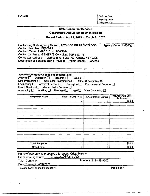| RN<br> |  |
|--------|--|
|--------|--|

**FORMB OSC Use Only:** Reporting Code: Category Code:

#### **State Consultant Services Contractor's Annual Employment Report Report Period: April 1, 2019 to March 31, 2020**

Contracting State Agency Name: NYS OGS PBITS / NYS OGS Contract Number: PB060AA Contract Term: 9/09/2015 to 9/08/2024 Contractor Name: GENESYS Consulting Services, Inc. Contractor Address: <sup>1</sup> Marcus Blvd, Suite 102, Albany, NY 12205 Description of Services Being Provided: Project Based IT Services Agency Code: 1140000 **Scope of Contract (Choose one that best fits):** Analysis  $\Box$  Evaluation  $\Box$  Research  $\Box$  Training  $\Box$ <br>Data Processing  $\Box$  Computer Programming  $\Box$  Other Data Processing  $\Box$  Computer Programming  $\Box$  Other IT consulting  $\boxtimes$ <br>Engineering  $\Box$  Architect Services  $\Box$  Surveying  $\Box$  Environmental S Environmental Services  $\Box$ Health Services  $\Box$  • Mental Health Services  $\Box$ Accounting  $\Box$  Auditing  $\Box$  Paralegal  $\Box$  Legal  $\Box$  Other Consulting  $\Box$ Amount Payable Under<br>the Contract Employment Category **Number of Employees Number of Hours Worked** 0 \$0.00 Total this page 0 0 \$0.00 Grand Total  $\begin{array}{ccc} \text{1} & \text{1} & \text{1} & \text{1} & \text{1} & \text{1} & \text{1} & \text{1} & \text{1} & \text{1} & \text{1} & \text{1} & \text{1} & \text{1} & \text{1} & \text{1} & \text{1} & \text{1} & \text{1} & \text{1} & \text{1} & \text{1} & \text{1} & \text{1} & \text{1} & \text{1} & \text{1} & \text{1} & \text{1} & \text{1} & \text{1} & \text{1} & \text{1} & \text{1$ 

| Name of person who prepared this report: Crista Maiello<br>Preparer's Signature: Cuista Maiello |                       |  |  |  |
|-------------------------------------------------------------------------------------------------|-----------------------|--|--|--|
| Title: Controller                                                                               | Phone #: 518-459-9500 |  |  |  |
| Date Prepared: 5/08/2020                                                                        |                       |  |  |  |
|                                                                                                 |                       |  |  |  |

Use additional pages if necessary) example the control of the Page 1 of 1